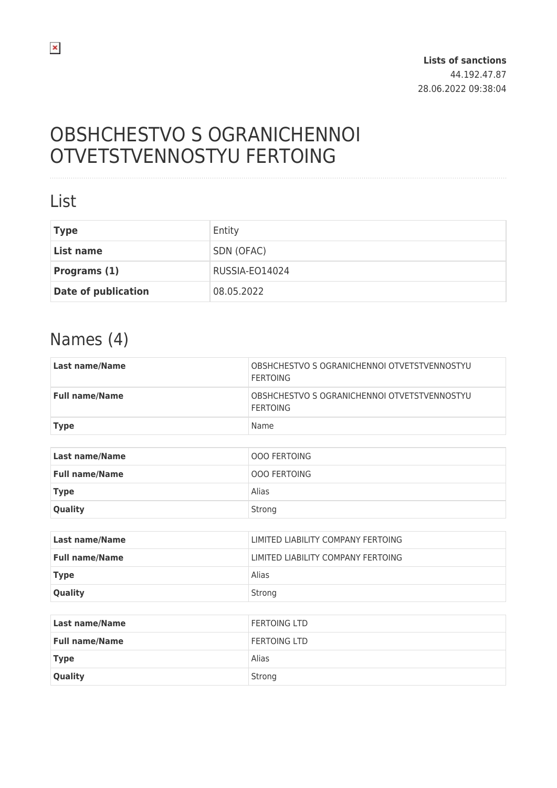# OBSHCHESTVO S OGRANICHENNOI OTVETSTVENNOSTYU FERTOING

### List

| <b>Type</b>                | Entity         |
|----------------------------|----------------|
| List name                  | SDN (OFAC)     |
| Programs (1)               | RUSSIA-EO14024 |
| <b>Date of publication</b> | 08.05.2022     |

### Names (4)

| <b>Last name/Name</b> | OBSHCHESTVO S OGRANICHENNOI OTVETSTVENNOSTYU<br><b>FERTOING</b> |
|-----------------------|-----------------------------------------------------------------|
| <b>Full name/Name</b> | OBSHCHESTVO S OGRANICHENNOI OTVETSTVENNOSTYU<br><b>FERTOING</b> |
| <b>Type</b>           | Name                                                            |
|                       |                                                                 |
| <b>Last name/Name</b> | <b>OOO FERTOING</b>                                             |
| <b>Full name/Name</b> | <b>OOO FERTOING</b>                                             |
| <b>Type</b>           | Alias                                                           |
| Quality               | Strong                                                          |
|                       |                                                                 |
| <b>Last name/Name</b> | LIMITED LIABILITY COMPANY FERTOING                              |
| <b>Full name/Name</b> | LIMITED LIABILITY COMPANY FERTOING                              |
| <b>Type</b>           | Alias                                                           |
| Quality               | Strong                                                          |
|                       |                                                                 |
| <b>Last name/Name</b> | <b>FERTOING LTD</b>                                             |
| <b>Full name/Name</b> | <b>FERTOING LTD</b>                                             |
| <b>Type</b>           | Alias                                                           |
| Quality               | Strong                                                          |